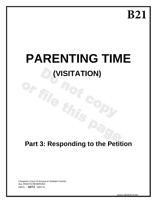**B21**

# **PARENTING TIME (VISITATION)**

# **Part 3: Responding to the Petition**

NS

©Superior Court of Arizona in Graham County ALL RIGHTS RESERVED DRV3 – **5072** - 050115

Or me no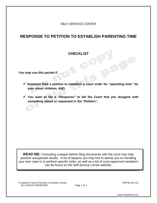# SELF-SERVICE CENTER

# **RESPONSE TO PETITION TO ESTABLISH PARENTING TIME**

# **CHECKLIST**

*You may use this packet if . . .* 

 **Someone filed a petition to establish a court order for "parenting time" for your minor children, AND**

 $-500$ 

 **You want to file a** *"Response"* **to tell the Court that you disagree with something stated or requested in the** *"Petition".*

**READ ME:** Consulting a lawyer before filing documents with the court may help prevent unexpected results. A list of lawyers you may hire to advise you on handling your own case or to perform specific tasks, as well as a list of court-approved mediators can be found on the Self-Service Center website.

© Superior Court of Arizona in Graham County DRV3k-011713 ALL RIGHTS RESERVED

version 06/26/2015-b21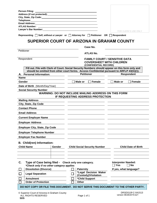| City, State, Zip Code: Name of State of State of State of State of State of State of State of State of State o<br><b>Telephone:</b> with a state of the state of the state of the state of the state of the state of the state of the state of the state of the state of the state of the state of the state of the state of the state of the state o<br>Email Address:<br><b>ATLAS Number:</b><br>Lawyer's Bar Number: Example 2014 1996<br>FOR CLERK'S USE ONLY<br>Representing □ Self, without a Lawyer or □ Attorney for □ Petitioner OR  <br>Respondent<br>SUPERIOR COURT OF ARIZONA IN GRAHAM COUNTY<br>Case No.<br>Petitioner<br><b>ATLAS No.</b><br><b>FAMILY COURT / SENSITIVE DATA</b><br>Respondent<br><b>COVERSHEET WITH CHILDREN</b><br>(CONFIDENTIAL RECORD)<br>Fill out. File with Clerk of Court. Social Security Numbers should appear on this form only and<br>should be omitted from other court forms. Access Confidential pursuant to ARFLP 43(G)(1).<br><b>Petitioner</b><br><b>Respondent</b><br>A. Personal Information:<br><b>Name</b><br>Female<br>Female<br>Gender<br>Male or<br>Male or<br>Date of Birth (Month/Day/Year)<br><b>Social Security Number</b><br><b>WARNING: DO NOT INCLUDE MAILING ADDRESS ON THIS FORM</b><br>IF REQUESTING ADDRESS PROTECTION<br><b>Mailing Address</b><br>City, State, Zip Code<br><b>Contact Phone</b><br><b>Email Address</b><br><b>Current Employer Name</b><br><b>Employer Address</b><br><b>Employer City, State, Zip Code</b><br><b>Employer Telephone Number</b><br><b>Employer Fax Number</b><br>B. Child(ren) Information:<br><b>Child Name</b><br><b>Child Social Security Number</b><br><b>Child Date of Birth</b><br>Gender<br><b>Interpreter Needed:</b><br>C.<br>Type of Case being filed - Check only one category.<br><b>No</b><br><b>Yes</b><br>*Check only if no other category applies<br><b>Dissolution (Divorce)</b><br><b>Paternity</b><br>If yes, what language?<br>*Legal Decision Maker<br><b>Legal Separation</b><br>(Custody)/Visitation<br><b>Annulment</b><br>*Child Support<br><b>Order of Protection</b><br><b>Other</b><br>DO NOT COPY OR FILE THIS DOCUMENT. DO NOT SERVE THIS DOCUMENT TO THE OTHER PARTY. |                       |  |
|-----------------------------------------------------------------------------------------------------------------------------------------------------------------------------------------------------------------------------------------------------------------------------------------------------------------------------------------------------------------------------------------------------------------------------------------------------------------------------------------------------------------------------------------------------------------------------------------------------------------------------------------------------------------------------------------------------------------------------------------------------------------------------------------------------------------------------------------------------------------------------------------------------------------------------------------------------------------------------------------------------------------------------------------------------------------------------------------------------------------------------------------------------------------------------------------------------------------------------------------------------------------------------------------------------------------------------------------------------------------------------------------------------------------------------------------------------------------------------------------------------------------------------------------------------------------------------------------------------------------------------------------------------------------------------------------------------------------------------------------------------------------------------------------------------------------------------------------------------------------------------------------------------------------------------------------------------------------------------------------------------------------------------------------------------------------------------------------------------------------------------------------------------------------------------------------------------------|-----------------------|--|
|                                                                                                                                                                                                                                                                                                                                                                                                                                                                                                                                                                                                                                                                                                                                                                                                                                                                                                                                                                                                                                                                                                                                                                                                                                                                                                                                                                                                                                                                                                                                                                                                                                                                                                                                                                                                                                                                                                                                                                                                                                                                                                                                                                                                           | <b>Person Filing:</b> |  |
|                                                                                                                                                                                                                                                                                                                                                                                                                                                                                                                                                                                                                                                                                                                                                                                                                                                                                                                                                                                                                                                                                                                                                                                                                                                                                                                                                                                                                                                                                                                                                                                                                                                                                                                                                                                                                                                                                                                                                                                                                                                                                                                                                                                                           |                       |  |
|                                                                                                                                                                                                                                                                                                                                                                                                                                                                                                                                                                                                                                                                                                                                                                                                                                                                                                                                                                                                                                                                                                                                                                                                                                                                                                                                                                                                                                                                                                                                                                                                                                                                                                                                                                                                                                                                                                                                                                                                                                                                                                                                                                                                           |                       |  |
|                                                                                                                                                                                                                                                                                                                                                                                                                                                                                                                                                                                                                                                                                                                                                                                                                                                                                                                                                                                                                                                                                                                                                                                                                                                                                                                                                                                                                                                                                                                                                                                                                                                                                                                                                                                                                                                                                                                                                                                                                                                                                                                                                                                                           |                       |  |
|                                                                                                                                                                                                                                                                                                                                                                                                                                                                                                                                                                                                                                                                                                                                                                                                                                                                                                                                                                                                                                                                                                                                                                                                                                                                                                                                                                                                                                                                                                                                                                                                                                                                                                                                                                                                                                                                                                                                                                                                                                                                                                                                                                                                           |                       |  |
|                                                                                                                                                                                                                                                                                                                                                                                                                                                                                                                                                                                                                                                                                                                                                                                                                                                                                                                                                                                                                                                                                                                                                                                                                                                                                                                                                                                                                                                                                                                                                                                                                                                                                                                                                                                                                                                                                                                                                                                                                                                                                                                                                                                                           |                       |  |
|                                                                                                                                                                                                                                                                                                                                                                                                                                                                                                                                                                                                                                                                                                                                                                                                                                                                                                                                                                                                                                                                                                                                                                                                                                                                                                                                                                                                                                                                                                                                                                                                                                                                                                                                                                                                                                                                                                                                                                                                                                                                                                                                                                                                           |                       |  |
|                                                                                                                                                                                                                                                                                                                                                                                                                                                                                                                                                                                                                                                                                                                                                                                                                                                                                                                                                                                                                                                                                                                                                                                                                                                                                                                                                                                                                                                                                                                                                                                                                                                                                                                                                                                                                                                                                                                                                                                                                                                                                                                                                                                                           |                       |  |
|                                                                                                                                                                                                                                                                                                                                                                                                                                                                                                                                                                                                                                                                                                                                                                                                                                                                                                                                                                                                                                                                                                                                                                                                                                                                                                                                                                                                                                                                                                                                                                                                                                                                                                                                                                                                                                                                                                                                                                                                                                                                                                                                                                                                           |                       |  |
|                                                                                                                                                                                                                                                                                                                                                                                                                                                                                                                                                                                                                                                                                                                                                                                                                                                                                                                                                                                                                                                                                                                                                                                                                                                                                                                                                                                                                                                                                                                                                                                                                                                                                                                                                                                                                                                                                                                                                                                                                                                                                                                                                                                                           |                       |  |
|                                                                                                                                                                                                                                                                                                                                                                                                                                                                                                                                                                                                                                                                                                                                                                                                                                                                                                                                                                                                                                                                                                                                                                                                                                                                                                                                                                                                                                                                                                                                                                                                                                                                                                                                                                                                                                                                                                                                                                                                                                                                                                                                                                                                           |                       |  |
|                                                                                                                                                                                                                                                                                                                                                                                                                                                                                                                                                                                                                                                                                                                                                                                                                                                                                                                                                                                                                                                                                                                                                                                                                                                                                                                                                                                                                                                                                                                                                                                                                                                                                                                                                                                                                                                                                                                                                                                                                                                                                                                                                                                                           |                       |  |
|                                                                                                                                                                                                                                                                                                                                                                                                                                                                                                                                                                                                                                                                                                                                                                                                                                                                                                                                                                                                                                                                                                                                                                                                                                                                                                                                                                                                                                                                                                                                                                                                                                                                                                                                                                                                                                                                                                                                                                                                                                                                                                                                                                                                           |                       |  |
|                                                                                                                                                                                                                                                                                                                                                                                                                                                                                                                                                                                                                                                                                                                                                                                                                                                                                                                                                                                                                                                                                                                                                                                                                                                                                                                                                                                                                                                                                                                                                                                                                                                                                                                                                                                                                                                                                                                                                                                                                                                                                                                                                                                                           |                       |  |
|                                                                                                                                                                                                                                                                                                                                                                                                                                                                                                                                                                                                                                                                                                                                                                                                                                                                                                                                                                                                                                                                                                                                                                                                                                                                                                                                                                                                                                                                                                                                                                                                                                                                                                                                                                                                                                                                                                                                                                                                                                                                                                                                                                                                           |                       |  |
|                                                                                                                                                                                                                                                                                                                                                                                                                                                                                                                                                                                                                                                                                                                                                                                                                                                                                                                                                                                                                                                                                                                                                                                                                                                                                                                                                                                                                                                                                                                                                                                                                                                                                                                                                                                                                                                                                                                                                                                                                                                                                                                                                                                                           |                       |  |
|                                                                                                                                                                                                                                                                                                                                                                                                                                                                                                                                                                                                                                                                                                                                                                                                                                                                                                                                                                                                                                                                                                                                                                                                                                                                                                                                                                                                                                                                                                                                                                                                                                                                                                                                                                                                                                                                                                                                                                                                                                                                                                                                                                                                           |                       |  |
|                                                                                                                                                                                                                                                                                                                                                                                                                                                                                                                                                                                                                                                                                                                                                                                                                                                                                                                                                                                                                                                                                                                                                                                                                                                                                                                                                                                                                                                                                                                                                                                                                                                                                                                                                                                                                                                                                                                                                                                                                                                                                                                                                                                                           |                       |  |
|                                                                                                                                                                                                                                                                                                                                                                                                                                                                                                                                                                                                                                                                                                                                                                                                                                                                                                                                                                                                                                                                                                                                                                                                                                                                                                                                                                                                                                                                                                                                                                                                                                                                                                                                                                                                                                                                                                                                                                                                                                                                                                                                                                                                           |                       |  |
|                                                                                                                                                                                                                                                                                                                                                                                                                                                                                                                                                                                                                                                                                                                                                                                                                                                                                                                                                                                                                                                                                                                                                                                                                                                                                                                                                                                                                                                                                                                                                                                                                                                                                                                                                                                                                                                                                                                                                                                                                                                                                                                                                                                                           |                       |  |
|                                                                                                                                                                                                                                                                                                                                                                                                                                                                                                                                                                                                                                                                                                                                                                                                                                                                                                                                                                                                                                                                                                                                                                                                                                                                                                                                                                                                                                                                                                                                                                                                                                                                                                                                                                                                                                                                                                                                                                                                                                                                                                                                                                                                           |                       |  |
|                                                                                                                                                                                                                                                                                                                                                                                                                                                                                                                                                                                                                                                                                                                                                                                                                                                                                                                                                                                                                                                                                                                                                                                                                                                                                                                                                                                                                                                                                                                                                                                                                                                                                                                                                                                                                                                                                                                                                                                                                                                                                                                                                                                                           |                       |  |
|                                                                                                                                                                                                                                                                                                                                                                                                                                                                                                                                                                                                                                                                                                                                                                                                                                                                                                                                                                                                                                                                                                                                                                                                                                                                                                                                                                                                                                                                                                                                                                                                                                                                                                                                                                                                                                                                                                                                                                                                                                                                                                                                                                                                           |                       |  |
|                                                                                                                                                                                                                                                                                                                                                                                                                                                                                                                                                                                                                                                                                                                                                                                                                                                                                                                                                                                                                                                                                                                                                                                                                                                                                                                                                                                                                                                                                                                                                                                                                                                                                                                                                                                                                                                                                                                                                                                                                                                                                                                                                                                                           |                       |  |
|                                                                                                                                                                                                                                                                                                                                                                                                                                                                                                                                                                                                                                                                                                                                                                                                                                                                                                                                                                                                                                                                                                                                                                                                                                                                                                                                                                                                                                                                                                                                                                                                                                                                                                                                                                                                                                                                                                                                                                                                                                                                                                                                                                                                           |                       |  |
|                                                                                                                                                                                                                                                                                                                                                                                                                                                                                                                                                                                                                                                                                                                                                                                                                                                                                                                                                                                                                                                                                                                                                                                                                                                                                                                                                                                                                                                                                                                                                                                                                                                                                                                                                                                                                                                                                                                                                                                                                                                                                                                                                                                                           |                       |  |
|                                                                                                                                                                                                                                                                                                                                                                                                                                                                                                                                                                                                                                                                                                                                                                                                                                                                                                                                                                                                                                                                                                                                                                                                                                                                                                                                                                                                                                                                                                                                                                                                                                                                                                                                                                                                                                                                                                                                                                                                                                                                                                                                                                                                           |                       |  |
|                                                                                                                                                                                                                                                                                                                                                                                                                                                                                                                                                                                                                                                                                                                                                                                                                                                                                                                                                                                                                                                                                                                                                                                                                                                                                                                                                                                                                                                                                                                                                                                                                                                                                                                                                                                                                                                                                                                                                                                                                                                                                                                                                                                                           |                       |  |
|                                                                                                                                                                                                                                                                                                                                                                                                                                                                                                                                                                                                                                                                                                                                                                                                                                                                                                                                                                                                                                                                                                                                                                                                                                                                                                                                                                                                                                                                                                                                                                                                                                                                                                                                                                                                                                                                                                                                                                                                                                                                                                                                                                                                           |                       |  |
|                                                                                                                                                                                                                                                                                                                                                                                                                                                                                                                                                                                                                                                                                                                                                                                                                                                                                                                                                                                                                                                                                                                                                                                                                                                                                                                                                                                                                                                                                                                                                                                                                                                                                                                                                                                                                                                                                                                                                                                                                                                                                                                                                                                                           |                       |  |
|                                                                                                                                                                                                                                                                                                                                                                                                                                                                                                                                                                                                                                                                                                                                                                                                                                                                                                                                                                                                                                                                                                                                                                                                                                                                                                                                                                                                                                                                                                                                                                                                                                                                                                                                                                                                                                                                                                                                                                                                                                                                                                                                                                                                           |                       |  |
|                                                                                                                                                                                                                                                                                                                                                                                                                                                                                                                                                                                                                                                                                                                                                                                                                                                                                                                                                                                                                                                                                                                                                                                                                                                                                                                                                                                                                                                                                                                                                                                                                                                                                                                                                                                                                                                                                                                                                                                                                                                                                                                                                                                                           |                       |  |
|                                                                                                                                                                                                                                                                                                                                                                                                                                                                                                                                                                                                                                                                                                                                                                                                                                                                                                                                                                                                                                                                                                                                                                                                                                                                                                                                                                                                                                                                                                                                                                                                                                                                                                                                                                                                                                                                                                                                                                                                                                                                                                                                                                                                           |                       |  |
|                                                                                                                                                                                                                                                                                                                                                                                                                                                                                                                                                                                                                                                                                                                                                                                                                                                                                                                                                                                                                                                                                                                                                                                                                                                                                                                                                                                                                                                                                                                                                                                                                                                                                                                                                                                                                                                                                                                                                                                                                                                                                                                                                                                                           |                       |  |
|                                                                                                                                                                                                                                                                                                                                                                                                                                                                                                                                                                                                                                                                                                                                                                                                                                                                                                                                                                                                                                                                                                                                                                                                                                                                                                                                                                                                                                                                                                                                                                                                                                                                                                                                                                                                                                                                                                                                                                                                                                                                                                                                                                                                           |                       |  |
|                                                                                                                                                                                                                                                                                                                                                                                                                                                                                                                                                                                                                                                                                                                                                                                                                                                                                                                                                                                                                                                                                                                                                                                                                                                                                                                                                                                                                                                                                                                                                                                                                                                                                                                                                                                                                                                                                                                                                                                                                                                                                                                                                                                                           |                       |  |
|                                                                                                                                                                                                                                                                                                                                                                                                                                                                                                                                                                                                                                                                                                                                                                                                                                                                                                                                                                                                                                                                                                                                                                                                                                                                                                                                                                                                                                                                                                                                                                                                                                                                                                                                                                                                                                                                                                                                                                                                                                                                                                                                                                                                           |                       |  |
|                                                                                                                                                                                                                                                                                                                                                                                                                                                                                                                                                                                                                                                                                                                                                                                                                                                                                                                                                                                                                                                                                                                                                                                                                                                                                                                                                                                                                                                                                                                                                                                                                                                                                                                                                                                                                                                                                                                                                                                                                                                                                                                                                                                                           |                       |  |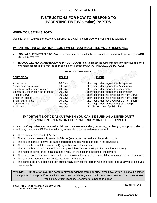# **SELF-SERVICE CENTER**

# **INSTRUCTIONS FOR HOW TO RESPOND TO PARENTING TIME (Visitation) PAPERS**

#### **WHEN TO USE THIS FORM:**

Use this form if you want to respond to a petition to get a first court order of parenting time (visitation).

#### **IMPORTANT INFORMATION ABOUT WHEN YOU MUST FILE YOUR RESPONSE**

- **LOOK AT THE TIMETABLE BELOW**.If the **last day** to respond falls on a Saturday, Sunday, or legal holiday, you **DO NOT** count that day.
- **INCLUDE WEEKENDS AND HOLIDAYS IN YOUR COUNT** until you reach the number of days in the timetable below. If a written response is filed with the court on time, the Petitioner **CANNOT PROCEED BY DEFAULT.**

|                                     |              | <b>DEFAULT TIME TABLE</b> |                                               |
|-------------------------------------|--------------|---------------------------|-----------------------------------------------|
| <b>SERVICE BY</b>                   | <b>COUNT</b> |                           | <b>EVENT</b>                                  |
| Acceptance                          | 20 Days      |                           | after respondent signed the Acceptance        |
| Acceptance out-of-state             | 30 Days      |                           | after respondent signed the Acceptance        |
| Signature Confirmation in-state     | 20 Days      |                           | after respondent signed the confirmation      |
| Signature Confirmation out-of-state | 30 Days      |                           | after respondent signed the confirmation      |
| <b>Process Server</b>               | 20 Days      |                           | after respondent received papers from Server  |
| Sheriff in Arizona                  | 20 Days      |                           | after respondent received papers from Sheriff |
| Sheriff out-of-state                | 30 Days      |                           | after respondent received papers from Sheriff |
| <b>Registered Mail</b>              | 30 Days      |                           | after respondent signed the green receipt     |
| Publication                         | 60 Days      |                           | after the 1st date of publication             |

### **IMPORTANT NOTICE ABOUT WHEN YOU CAN BE SUED AS A DEFENDANT/ RESPONDENT IN ARIZONA FOR PATERNITY OR CHILD SUPPORT:**

A defendant/respondent can be sued in Arizona in a case establishing, enforcing, or changing a support order, or establishing paternity, if ONE of the following is true about the defendant/respondent:

- $\triangleright$  The person is a resident of Arizona
- The person was personally served in Arizona (see packet on service to know about this)
- $\triangleright$  The person agrees to have the case heard here and files written papers in the court case;
- $\triangleright$  The person lived with the minor child(ren) in this state at some time;
- $\triangleright$  The person lived in this state and provided pre-birth expenses or support for the minor child(ren);
- $\triangleright$  The minor child(ren) lives in this state as a result of the acts or directions of the person;
- $\triangleright$  The person had sexual intercourse in this state as a result of which the minor child(ren) may have been conceived;
- The person signed a birth certificate that is filed in this state;
- $\triangleright$  The person did any other acts that substantially connect the person with this state (see a lawyer to help you determine this).

**WARNING: Jurisdiction over the defendant/respondent is very serious.** If you have any doubts about whether it was proper for the plaintiff **or** petitioner to sue you in Arizona, you should see a lawyer IMMEDIATELY, **BEFORE**  you file any written response or answer or other court paper.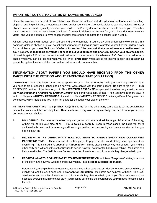# **IMPORTANT NOTICE TO VICTIMS OF DOMESTIC VIOLENCE:**

Domestic violence can be part of any relationship. Domestic violence includes **physical violence** such as hitting, slapping, pushing or kicking, directed against you and/or your children. Domestic violence can also include **threats** of physical violence made against you and/or your children, and/or **regular verbal abuse** used to control you. The other party does NOT need to have been convicted of domestic violence or assault for you to be a domestic violence victim, and you do not need to have sought medical care or been admitted to a hospital to be a victim.

All court documents will request your address and phone number. If you are a victim of domestic violence, are in a domestic violence shelter, or if you do not want your address known in order to protect yourself or your children from further violence, **you must file for an** *"Order of Protection"* **first and ask that your address not be disclosed on court papers. With that order, you do not need to put your address and phone number on your divorce papers**. If possible, get a P.O. box or use another valid address on these papers. If you have no P.O. Box or other address or phone where you can be reached when you file, write **"protected"** where asked for this information and **as soon as possible**, update the clerk of the court with an address and phone number.

#### **INFORMATION ABOUT PAPERS YOU SHOULD HAVE RECEIVED FROM THE OTHER PARTY WITH THE PETITION ABOUT PARENTING TIME (VISITATION)**

*"SUMMONS:"* You have been summoned to appear in court. The *"Summons"* tells you how many calendar days you have to file a response, depending on how you were served with the court papers. Be sure to file a WRITTEN RESPONSE on time. If the time for you to file a **WRITTEN RESPONSE** has passed, the other party must complete an *"Application and Affidavit for Entry of Default"* and send you a copy of that. Then you have 10 more days in which to file **your WRITTEN RESPONSE**. If you do not file a WRITTEN RESPONSE on time**,** a Default Judgment can be entered, which means that you might not get to tell the judge your side of the story.

**PETITION FOR PARENTING TIME (VISITATION):** This is the form the other party completed to tell the court his/her side of the story about the parenting time. **Read each and every word very carefully**, and decide what you want to do. Here are your choices:

- **1. DO NOTHING.** This means the other party can get a court order and tell the judge his/her side of the story, without you telling your side at all. **This is called a default.** Even in these cases, the judge will try to decide what is best, but it is **never** a good idea to ignore the court proceeding and have a court order that you had no input on.
- **2. DECIDE WITH THE OTHER PARTY HOW YOU WANT TO HANDLE EVERYTHING CONCERNING PARENTING TIME.** Then you and the other party file papers in the court stating your agreement on everything. This is called a *"Consent"* **or** *"Stipulation."*This is often the best way to proceed, if you and the other party can talk about the critical issues to decide how you both want to handle everything. Mediators can help you with this. The Self-Service Center has a list of mediators, and how much they charge to help you.
- **3. PROTEST WHAT THE OTHER PARTY STATED IN THE PETITION** and file a *"Response"* stating your side of the story, and how you want to handle everything. **This is called a contested matter**.

But, even if you originally file a response, you and you other party can still decide to agree on something, or everything, and file court papers for a **Consent or Stipulation.** Mediators can help you with this. The Self-Service Center has a list of mediators, and how much they charge to help you. If you file a response and do not settle everything with the other party, you must be sure to file the court papers you will need to set the case for trial.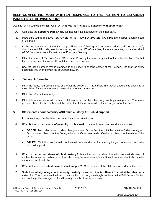### **HELP COMPLETING YOUR WRITTEN RESPONSE TO THE PETITION TO ESTABLISH PARENTING TIME (VISITATION):**

Use this form if you want to RESPOND OR ANSWER a *"Petition to Establish Parenting Time."* 

- A. Complete the *Sensitive Data Sheet*. Do not copy. Do not serve on the other party.
- B. Make sure your form states **RESPONSE TO PETITION FOR PARENTING TIME** in the upper right hand part of the page.
- C. In the top left corner of the first page, fill out the following: YOUR name; address (if not protected); city, state and ZIP code; telephone number; and your ATLAS number, if you are receiving or have received AFDC from the Arizona Department of Economic Security.
- D. Fill in the name of "Petitioner" and "Respondent" exactly the same way as it looks on the Petition. Do that for every document you ever file with the court from now on.
- E. Use the case number that is stamped in the upper right-hand corner of the Petition. Do that for every document you ever file with the court from now on.

#### **A. General information:**

- 1. Fill in the name, address and date of birth for the petitioner. This is basic information about the relationship to the children for whom the person wants the parenting time order.
- 2. Fill in the information about you.
- 3. Fill in information about all the minor children for whom the other party wants parenting time. The same persons should be the mother and the father for all the minor children for whom you want this order.

#### **B. Statements about paternity AND child custody AND child support.**

In this section you will tell the court what the current situation is.

- 4. **What is the current status of paternity in this case?** Mark whichever box describes your case.
	- **ORDER:** Mark whichever box describes your case. On the first line, print the date the Order was signed. On the second line, print the County where the Order was made. On the next line, print the name of the father.
	- **OTHER:** Mark this box if you do not have a formal court order for paternity but you do have a court order for child support.
- 5. **What is the current status of child custody?** Mark the box that describes who has custody now. If neither the father nor mother have physical custody, be sure to complete all the information about who has the minor child(ren) and why.
- 6. **What is the current situation as to child support?** Give the date of the child support order on the case.
- 7. **State here what you say about paternity, custody, or support that is different from what the other party asked for.** This is because the form of petition the other party used might not be from the Self-Service Center, and so it might be arranged a little differently than this form of response.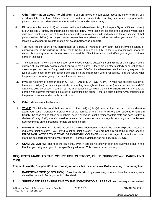- **C. Other information about the children:** If you are aware of court cases about the minor children, you need to tell the court that. Attach a copy of the orders about custody, parenting time, or child support to the petition, unless the orders are from the Superior Court in Graham County.
	- 8. Fill out where the minor child(ren) involved in this action have been living **for the past 5 years;** if the child(ren) are under age 5, simply put information since their birth. Write each child's name; the address where each child lived; what dates each child lived at each address; who each child lived with; and the relationship of that person to the child(ren). While you may not remember exact dates and addresses when you moved from one location to another, fill this information out **as completely as possible**.
	- 9. You must tell the court if you participated as a party or witness in any court case involving custody or parenting time of the child(ren). If not, mark the first box and GO ON. If there is another case, mark the second box and give as much information as possible. This information could affect you or your children's rights in this case.
	- 10. The court **MUST** know if there have been other cases involving custody, parenting time or child support of the children of this paternity action, even if you were not a party. If there are no other custody or parenting time cases, or you don't know of any, mark the first box and GO ON. If you have been involved in any way with this type of Court case, mark the second box and give the information where requested. Tell the Court what happened and what is going on now in the other case(s).
	- 11. If you do not know of another person OTHER THAN THE OPPOSING PARTY who has physical custody of the minor child(ren) or is claiming custody or parenting time rights to the child(ren), mark the first box and GO ON. If you do know of such a person, put the information here, including the minor child(ren)'s name(s) and the person who believes they have a custody or parenting time claim. If there is such a person, you must include the person as a respondent in this court case.

#### **D. Other statements to the court:**

- 12. **VENUE:** This tells the court that one parent or the child(ren) live(s) here, so the court can make a decision about your case. Generally, if either one of the parents or the minor child(ren) are residents of Graham County, the case can be taken care of here, even if everyone is not a resident of this state and does not live in Graham County. AND, you also need to be sure that the respondent can legally be brought into the lawsuit. See comments on the first page for help on deciding this.
- 13. **DOMESTIC VIOLENCE:** This tells the court if there was domestic violence in the relationship, and relates to a request for joint custody, if you intend to ask for joint custody. If you are not sure what this means, see the **IMPORTANT NOTICE TO VICTIMS OF DOMESTIC VIOLENCE** on the first page of these instructions. Mark the box corresponding to your situation. If domestic violence has not occurred, GO ON.
- 14. **GENERAL DENIAL:** This tells the court that, even if you did not answer each and everything said in the Petition, you deny what you did not specifically address. This is extra protection for you.

# **REQUESTS MADE TO THE COURT FOR CUSTODY, CHILD SUPPORT and PARENTING TIME**

**This section of the Complaint/Petition formally requests that the court make Orders relating to parenting time.** 

- **1. PARENTING TIME (VISITATION):** Describe who should get parenting time, and how the parenting time should be handled. Be very specific. Use detail.
- **2. SUPERVISED PARENTING TIME TO THE NON-CUSTODIAL PARENT:** You may request supervised

© Superior Court of Arizona in Graham County DRV31h 101713 ALL RIGHTS RESERVED

Page 4 of 5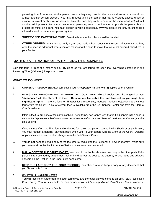parenting time if the non-custodial parent cannot adequately care for the minor child(ren) or cannot do so without another person present. You may request this if the person not having custody abuses drugs or alcohol; is violent or abusive; or, does not have the parenting skills to care for the minor child(ren) without another adult present. Remember, supervised parenting time is not intended to punish the parent, but to protect the minor child(ren). You must explain in writing specifically **why** you believe the only parenting time allowed should be supervised parenting time.

- **3. SUPERVISED PARENTING TIME:** Describe how you think this should be handled.
- **4. OTHER ORDERS:** Mark this box only if you have made other requests of the court. If you mark the box, write the specific additional orders you are requesting the court to make that were not covered elsewhere in your Petition.

#### **OATH OR AFFIRMATION OF PARTY FILING THIS RESPONSE:**

Sign this form in front of a notary public. By doing so you are telling the court that everything contained in the Parenting Time (Visitation) Response is **true.**

### **WHAT TO DO NEXT:**

- **1. COPIES OF RESPONSE:** After completing your *"Response,"* make **two (2)** copies before you file.
- **2. FILING THE RESPONSE AND PAYMENT OF COURT FEE:** File all copies and the original of your *"Response"* with the Clerk of the Court. **Be sure you file within the time limit set, or you might lose significant rights.** There are fees for filing petitions, responses, requests, motions, objections, and various forms with the Court. A list of current fees is available from the Self Service Center and from the Clerk of Court's website.

If this is the first time one of the parties or his or her attorney has "appeared", that is, filed papers in this case, a substantial "appearance fee" (also known as a "response" or "answer" fee) *will be due from that party* at the time of filing.

If you cannot afford the filing fee and/or the fee for having the papers served by the Sheriff or by publication, you may request a deferral (payment plan) when you file your papers with the Clerk of the Court. Deferral Applications are available at no charge from the Self-Service Center.

- **3.** You do **not** need to send a copy of the fee deferral request to the Petitioner or his/her attorney. Make sure you receive all copies back from the Clerk and they have been stamped.
- **4. MAIL A COPY TO THE OTHER PARTY:** You need to mail or hand-deliver one copy to the other party. If the person is represented by an attorney, mail or hand-deliver the copy to the attorney whose name and address appears on the Petition in the upper right hand corner.
- **5. KEEP THE LAST COPY FOR YOUR RECORDS:** You should always keep a copy of any document that you file with this Court.

#### **6. WHAT WILL HAPPEN NEXT?**

You will receive an Order from the court telling you and the other party to come to an ERC (Early Resolution Conference). You **must** come to that conference *or you will be charged a "no show" fee for failure to appear.*

© Superior Court of Arizona in Graham County DRV31h 101713 ALL RIGHTS RESERVED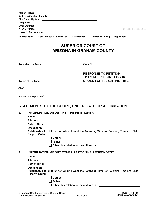|            |                                                                  |                                                                                                           | <b>FOR CLERK'S USE ONLY</b> |
|------------|------------------------------------------------------------------|-----------------------------------------------------------------------------------------------------------|-----------------------------|
|            |                                                                  | Lawyer's Bar Number: 1997                                                                                 |                             |
|            |                                                                  | Representing $\Box$ Self, without a Lawyer or $\Box$ Attorney for $\Box$ Petitioner OR $\Box$ Respondent  |                             |
|            |                                                                  | <b>SUPERIOR COURT OF</b><br><b>ARIZONA IN GRAHAM COUNTY</b>                                               |                             |
|            | Regarding the Matter of:                                         |                                                                                                           |                             |
| <b>AND</b> | (Name of Petitioner)                                             | <b>RESPONSE TO PETITION</b><br><b>TO ESTABLISH FIRST COURT</b><br><b>ORDER FOR PARENTING TIME</b>         |                             |
| 1.         | (Name of Respondent)<br>Name:                                    | STATEMENTS TO THE COURT, UNDER OATH OR AFFIRMATION<br><b>INFORMATION ABOUT ME, THE PETITIONER:</b>        |                             |
|            | <b>Address:</b><br>Date of Birth:                                |                                                                                                           |                             |
|            | <b>Occupation:</b><br>Support) Order:                            | Relationship to children for whom I want the Parenting Time (or Parenting Time and Child<br><b>Mother</b> |                             |
|            |                                                                  | <b>Father</b><br>Other. My relation to the children is:                                                   |                             |
| 2.         | Name:<br><b>Address:</b><br>Date of Birth:<br><b>Occupation:</b> | <b>INFORMATION ABOUT OTHER PARTY, THE RESPONDENT:</b>                                                     |                             |
|            | Support) Order:                                                  | Relationship to children for whom I want the Parenting Time (or Parenting Time and Child<br><b>Mother</b> |                             |
|            |                                                                  | <b>Father</b><br>Other. My relation to the children is:                                                   |                             |
|            |                                                                  |                                                                                                           | <b>DOUGHL OFOIAF</b>        |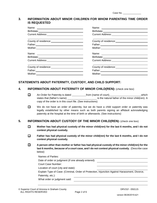| Case No. |  |
|----------|--|
|          |  |

#### **3. INFORMATION ABOUT MINOR CHILDREN FOR WHOM PARENTING TIME ORDER IS REQUESTED**

| County of residence: __________________________      |                                                                                                                                                                                                                                |
|------------------------------------------------------|--------------------------------------------------------------------------------------------------------------------------------------------------------------------------------------------------------------------------------|
|                                                      | Father: North Communication of the Communication of the Communication of the Communication of the Communication of the Communication of the Communication of the Communication of the Communication of the Communication of th |
|                                                      |                                                                                                                                                                                                                                |
|                                                      |                                                                                                                                                                                                                                |
|                                                      |                                                                                                                                                                                                                                |
| Current Address: _______________________________     |                                                                                                                                                                                                                                |
|                                                      | County of residence:<br><u>County</u> of residence:                                                                                                                                                                            |
|                                                      | Father: <u>Contract Communication</u>                                                                                                                                                                                          |
| Mother: ___ <b>_______________________________</b> _ |                                                                                                                                                                                                                                |

### **STATEMENTS ABOUT PATERNITY, CUSTODY, AND CHILD SUPPORT:**

#### **4. INFORMATION ABOUT PATERNITY OF MINOR CHILD(REN):** (check one box)

- An Order for Paternity is dated from (name of court) which  $\Box$ states that (father's name) is the natural father of the minor child(ren). A copy of the order is in this court file. (See instructions)
- $\Box$ We do not have an order of paternity, but we do have a child support order or paternity was legally established by other means such as both parents signing an affidavit acknowledging paternity at the hospital at the time of birth or afterwards. (See instructions)

#### **5. INFORMATION ABOUT CUSTODY OF THE MINOR CHILD(REN):** (check one box)

- $\Box$ **Mother has had physical custody of the minor child(ren) for the last 6 months, and I do not contest physical custody.**
- $\Box$ **Father has had physical custody of the minor child(ren) for the last 6 months, and I do not contest physical custody.**
- 0 **A person other than mother or father has had physical custody of the minor child(ren) for the last 6 months,** *because of a court case***, and I do not contest physical custody.** (Describe case below)

| Date of order or judgment (if one already entered):                                           |
|-----------------------------------------------------------------------------------------------|
| Court Case Number:                                                                            |
| Location of court (city and state):                                                           |
| Explain Type of Case: (Criminal, Order of Protection, Injunction Against Harassment, Divorce, |
| Paternity, etc.):                                                                             |
| What order or judgment said:                                                                  |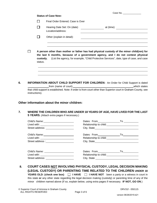|    |                |                     | <b>Status of Case Now:</b>                                                                                                                                                                                  |                                    | Case No. _______________                                                                 |
|----|----------------|---------------------|-------------------------------------------------------------------------------------------------------------------------------------------------------------------------------------------------------------|------------------------------------|------------------------------------------------------------------------------------------|
|    |                | П                   | Final Order Entered; Case is Over                                                                                                                                                                           |                                    |                                                                                          |
|    |                |                     | Hearing Date Set: On (date)                                                                                                                                                                                 |                                    |                                                                                          |
|    |                |                     | Location/address:                                                                                                                                                                                           |                                    |                                                                                          |
|    |                | ΙI                  | Other (explain in detail):                                                                                                                                                                                  |                                    |                                                                                          |
|    | l 1            | custody.<br>status. | A person other than mother or father has had physical custody of the minor child(ren) for<br>the last 6 months, because of a government agency, and I do not contest physical                               |                                    | (List the agency, for example, "Child Protective Services", date, type of case, and case |
|    | instructions). |                     | <b>INFORMATION ABOUT CHILD SUPPORT FOR CHILDREN:</b> An Order for Child Support is dated<br>that child support is established. Note: if order is from court other than Superior court in Graham County, see |                                    | which states                                                                             |
|    |                |                     |                                                                                                                                                                                                             |                                    |                                                                                          |
|    |                |                     | Other information about the minor children:                                                                                                                                                                 |                                    |                                                                                          |
|    |                |                     | WHERE THE CHILDREN WHO ARE UNDER 18 YEARS OF AGE, HAVE LIVED FOR THE LAST<br>5 YEARS. (Attach extra pages if necessary.)                                                                                    |                                    |                                                                                          |
|    |                |                     | Child's Name: Name: Name and Name and Name and Name and Name and Name and Name and Name and Name and Name and N                                                                                             | Dates: From                        |                                                                                          |
|    | Lived with:    |                     |                                                                                                                                                                                                             | Relationship to child:             |                                                                                          |
|    |                |                     |                                                                                                                                                                                                             |                                    |                                                                                          |
|    |                |                     |                                                                                                                                                                                                             |                                    |                                                                                          |
|    |                |                     |                                                                                                                                                                                                             |                                    |                                                                                          |
|    |                |                     | Lived with: _______________________________                                                                                                                                                                 |                                    |                                                                                          |
|    |                |                     |                                                                                                                                                                                                             |                                    |                                                                                          |
|    |                |                     |                                                                                                                                                                                                             |                                    |                                                                                          |
|    |                |                     | Street address: ________________________                                                                                                                                                                    | Relationship to child:<br><u> </u> |                                                                                          |
| 7. |                |                     |                                                                                                                                                                                                             |                                    |                                                                                          |

this state **or** any other state regarding the legal decision making (custody) or parenting time of any of the minor children named above (If so, explain below, using extra pages if necessary. **IF NOT, GO ON**.)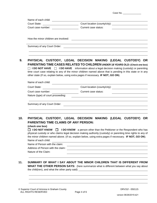|                                                                                                                                                                                                                                                                                                            | PHYSICAL CUSTODY, LEGAL DECISION MAKING (LEGAL CUSTODY) OR<br>PARENTING TIME CASES RELATED TO CHILDREN UNDER 18 YEARS OLD: (Check one box)<br>□ I DO NOT HAVE □ I DO HAVE information about a legal decision making (custody) or parenting                 |
|------------------------------------------------------------------------------------------------------------------------------------------------------------------------------------------------------------------------------------------------------------------------------------------------------------|------------------------------------------------------------------------------------------------------------------------------------------------------------------------------------------------------------------------------------------------------------|
| other state (If so, explain below, using extra pages if necessary. IF NOT, GO ON).                                                                                                                                                                                                                         | time court case relating to any of the minor children named above that is pending in this state or in any                                                                                                                                                  |
|                                                                                                                                                                                                                                                                                                            |                                                                                                                                                                                                                                                            |
|                                                                                                                                                                                                                                                                                                            | Court State: Court Iocation (county/city):                                                                                                                                                                                                                 |
| Court case number:<br>Nature (type) of court proceeding:                                                                                                                                                                                                                                                   | Current case status:<br><u> 1980 - Jan Samuel Barbara, martin din shekara ta 1980 - An tsara tsara tsara tsara tsara tsara tsara tsara t</u>                                                                                                               |
|                                                                                                                                                                                                                                                                                                            |                                                                                                                                                                                                                                                            |
| <b>PARENTING TIME CLAIMS OF ANY PERSON:</b><br>(check one box) and the control of the control of the control of the control of the control of the control of the control of the control of the control of the control of the control of the control of the control of the con<br><b>I DO NOT KNOW</b><br>H | PHYSICAL CUSTODY, LEGAL DECISION MAKING (LEGAL CUSTODY) OR<br><b>I DO KNOW</b> a person other than the Petitioner or the Respondent who has<br>physical custody or who claims legal decision making authority (custody) or parenting time rights to any of |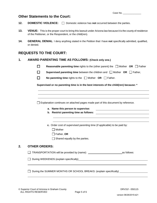#### **Other Statements to the Court:**

- **12. DOMESTIC VIOLENCE:** □ Domestic violence has **not** occurred between the parties.
- **13. VENUE:** This is the proper court to bring this lawsuit under Arizona law because it is the county of residence of the Petitioner, or the Respondent, or the child(ren).
- **14. GENERAL DENIAL**: I deny anything stated in the Petition that I have **not** specifically admitted, qualified, or denied.

# **REQUESTS TO THE COURT:**

- **1. AWARD PARENTING TIME AS FOLLOWS: (Check only one.)**
	- П **Reasonable parenting time** rights to the (other parent) the  $\Box$  Mother **OR**  $\Box$  Father
	- П **Supervised parenting time** between the children and □ Mother **OR** □ Father,
	- П **No parenting time** rights to the  $\Box$  Mother **OR**  $\Box$  Father.

**Supervised or no parenting time is in the best interests of the child(ren) because: \***

 $\Box$  Explanation continues on attached pages made part of this document by reference.

- **a. Name this person to supervise:**
- **b. Restrict parenting time as follows:**

**c.** Order cost of supervised parenting time (if applicable) to be paid by:

- □ Mother
- Father, **OR**
- $\Box$  Shared equally by the parties.

#### **2. OTHER ORDERS:**

TRANSPORTATION will be provided by (name): TRANSPORTATION will be provided by (name):

During WEEKENDS (explain specifically)<br>
<u>During</u> WEEKENDS (explain specifically)

□ During the SUMMER MONTHS OR SCHOOL BREAKS: (explain specifically)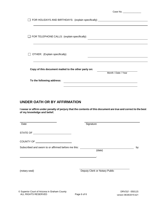|                                                     | Case No. ________________                                                        |
|-----------------------------------------------------|----------------------------------------------------------------------------------|
|                                                     | FOR HOLIDAYS AND BIRTHDAYS: (explain specifically) _____________________________ |
| $\Box$ FOR TELEPHONE CALLS: (explain specifically)  |                                                                                  |
| OTHER: (Explain specifically)                       |                                                                                  |
| Copy of this document mailed to the other party on: | Month / Date / Year                                                              |
| To the following address:                           |                                                                                  |
|                                                     |                                                                                  |

# **UNDER OATH OR BY AFFIRMATION**

**I swear or affirm under penalty of perjury that the contents of this document are true and correct to the best of my knowledge and belief.** 

| Date                                                | Signature                     |    |
|-----------------------------------------------------|-------------------------------|----|
|                                                     |                               |    |
|                                                     |                               |    |
| Subscribed and sworn to or affirmed before me this: | (date)                        | by |
|                                                     |                               |    |
| (notary seal)                                       | Deputy Clerk or Notary Public |    |
|                                                     |                               |    |
|                                                     |                               |    |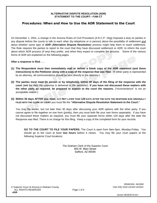#### **ALTERNATIVE DISPUTE RESOLUTION (ADR) STATEMENT TO THE COURT-- FAM CT**

#### Procedures: When and How to Use the ADR Statement to the Court

On December 1, 2001, a change in the Arizona Rules of Civil Procedure (A.R.C.P. 16(g) imposed a duty on parties in any dispute before the courts to talk to each other (by telephone or in person) about the possibility of settlement and about whether some type of *ADR* (**Alternative Dispute Resolution**) process might help them to reach settlement. The Rule requires the parties to report to the court that they have discussed settlement or ADR, to inform the court about which ADR process (if any) they prefer, and when they expect to complete the process. Some of the various forms of ADR are explained on the following pages.

**After a response is filed . . .**

- **(1) The Respondent must then immediately mail or deliver a blank copy of the ADR statement (and these instructions) to the Petitioner along with a copy of the response that was filed.** (If either party is represented by an attorney, all communications should be sent directly to the attorney.)
- **(2) The parties must meet (in person or by telephone), within 90 days of the filing of the response with the court** (**not** the date the response is delivered to the petitioner). **If you have not discussed these matters with the other party as required, be prepared to explain to the court the reasons.** ("Inconvenience" is not an acceptable reason.)
- **(3) Within 30 days AFTER you meet,** and **NOT LATER THAN 120 DAYS AFTER THE DATE THE RESPONSE WAS ORIGINALLY FILED WITH THE CLERK OF COURT** you must file the **"Alternative Dispute Resolution Statement to the Court."**

You may file earlier, but not later than 30 days after discussing your ADR options with the other party. If you cannot agree to file together on one form (jointly), then you must both file your own forms separately. If you have not discussed these matters as required, you must *file your separate forms* within 120 days after the date the Response was filed. There is no charge for this filing. Keep a copy of the completed form for your records.

**GO TO THE COURT TO FILE YOUR PAPERS:** The Court is open from 8am-5pm, Monday-Friday. You should go to the court at least **two hours** before it closes. You may file your court papers at the following Superior Court locations:

> The Graham Clerk of the Superior Court 800 W. Main Street Safford, AZ 85546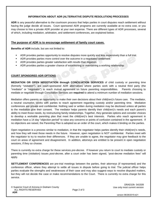#### **INFORMATION ABOUT ADR (ALTERNATIVE DISPUTE RESOLUTION) PROCESSES**

**ADR** is any peaceful alternative to the courtroom process that helps parties in court disputes reach settlement without having the judge decide all issues. Court sponsored ADR programs are currently available at no extra cost, or you may choose to hire a private ADR provider at your own expense. There are different types of ADR processes, several of which, including mediation, arbitration, and settlement conferences, are explained below.

#### **The purpose of ADR is to encourage settlement of family court cases.**

**Benefits of ADR** include, but are not limited to:

- ADR provides parties opportunity to resolve disputes more quickly and less expensively than a full trial.
- ADR provides parties more control over the outcome in a negotiated settlement.
- ADR provides parties greater satisfaction with results than litigation.
- ADR provides parties a greater chance of establishing or maintaining a working relationship.

#### **COURT SPONSORED ADR OPTIONS**

**MEDIATION OR OPEN NEGOTIATION through CONCILIATION SERVICES** of child custody or parenting time (formerly "visitation"), are court-sponsored ADR alternatives where parties work with a neutral third party (the "mediator" or "negotiator") to reach mutual agreement on future parenting responsibilities. Parents choosing to mediate or negotiate through Conciliation Services are **required** to attend a minimum number of mediation sessions.

Mediation offers parents an opportunity to make their own decisions about their child(ren)'s future care. The mediator, a neutral counselor, works with parties to reach agreement regarding custody and/or parenting time. Mediation conferences are private and confidential. Nothing said or written during mediation may be disclosed unless all parties to the mediation give their consent. The mediator helps parents identify their child(ren)'s needs and each parent's ability to meet those needs, by restructuring family relationships. Together, they generate options and consider choices to develop a workable parenting plan that meet the child(ren)'s best interests. Parties who reach agreement in mediation have a 14 day "objection period" to raise any concerns or points of confusion contained in the agreement. If no objections are raised, the Parenting Plan is adopted as an order of the court, which makes it binding on the parties.

Open negotiation is a process similar to mediation, in that the negotiator helps parties identify their child(ren)'s needs, and how they will meet those needs in the future. However, open negotiation is NOT confidential. Parties meet with the negotiator to try to resolve their differences. If they are unable to agree, the negotiator may give feedback to the court on areas of agreement and disagreement. In addition, attorneys are entitled to be present in open negotiation sessions, if they so choose.

There is currently no extra charge for these services *pre-decree*. If however you return to court to mediate custody or parenting time (visitation) issues *post-decree,* after a court order has been signed, "post-decree mediation fees" will apply.

**SETTLEMENT CONFERENCES** are pre-trial meetings between the parties, their attorneys (if represented) and the conference officer, where they attempt to settle all issues in dispute before going to trial. The judicial officer helps parties evaluate the strengths and weaknesses of their case and may also suggest ways to resolve disputed matters, but they will not decide the case or make recommendations to the Court. There is currently no extra charge for this service.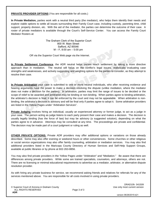**PRIVATE PROVIDER OPTIONS** (You are responsible for all costs.)

**In Private Mediation,** parties work with a neutral third party (the mediator), who helps them identify their needs and explore viable options to settle all issues surrounding their Family Court case, including custody, parenting time, child support, property division, etc. With the aid of the mediator, the parties can determine the outcome of their case. A roster of private mediators is available through the Court's Self-Service Center. You can access the Family Court Mediator Rosters at:

> The Graham Clerk of the Superior Court 800 W. Main Street Safford, AZ 85546 M – F, 8:00 am – 5:00 pm

OR via the Superior Court Web page via the Internet.

**In Private Settlement Conference**, the ADR neutral helps parties reach settlement by taking a more directive approach than in mediation. The neutral will focus on the conflict's legal issues, realistically evaluating case strengths and weaknesses, and actively suggesting and weighing options for the parties to consider, as they attempt to resolve their case.

**In Private Arbitration** your case is submitted to one or more neutral individuals, who after receiving evidence and hearing arguments have the power to make a decision resolving the dispute (unlike mediation, where the mediator does not make a decision for the parties). In arbitration, parties may limit the range of issues to be decided or the scope of relief to be awarded and arbitration may be binding or non-binding. When parties agree to binding-arbitration, the arbitrator's decision is final; it can be enforced by the court and may not be appealable. When arbitration is nonbinding, the arbitrator's decision is advisory and will be final only if parties agree to adopt it. Some arbitration providers are listed in the Yellow Pages under "Arbitration Services".

**Private Judging** involves hiring an individual, usually an experienced attorney or former judge, to act as a judge in your case. The person acting as judge listens to each party present their case and makes a decision. The decision is usually legally binding (has the force of law) but may be advisory (a suggested solution), depending on what the parties agree to in advance. Attorneys may be consulted at any time. The proceedings are private and confidential. The decision may be made part of a court judgment or ruling as well.

**OTHER PRIVATE OPTIONS:** Private ADR providers may offer additional options or variations on those already described. Some may also offer evening or weekend hours or other conveniences. Some churches or other religious or social service organizations may also offer family counseling, arbitration or mediation services. You may also find additional providers listed in the Maricopa County Directory of Human Services and Self-Help Support Groups, available at public libraries or by phone at 602-263-8856.

You may also find private providers in the Yellow Pages under "Arbitration" and "Mediation." Be aware that there are differences among private providers. While some are trained specialists, counselors, and attorneys, others are not. There are no licensing or minimal educational requirements to advertise as a mediator, arbitrator, or alternative dispute resolution provider.

As with hiring any private business for service, we recommend asking friends and relatives for referrals for any of the services mentioned above. You are responsible for all costs involved in using private providers.